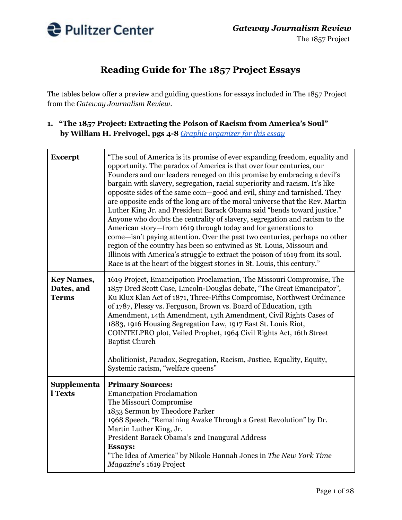

# **Reading Guide for The 1857 Project Essays**

The tables below offer a preview and guiding questions for essays included in The 1857 Project from the *Gateway Journalism Review*.

**1. "The 1857 Project: Extracting the Poison of Racism from America's Soul" by William H. Freivogel, pgs 4-8** *Graphic [organizer](https://docs.google.com/document/d/1bqc_QM9Jdg9P5vrHTssb18rQ-xtQTxtFt-3PUg8r4lY/edit) for this essay*

| <b>Excerpt</b>                                  | "The soul of America is its promise of ever expanding freedom, equality and<br>opportunity. The paradox of America is that over four centuries, our<br>Founders and our leaders reneged on this promise by embracing a devil's<br>bargain with slavery, segregation, racial superiority and racism. It's like<br>opposite sides of the same coin-good and evil, shiny and tarnished. They<br>are opposite ends of the long arc of the moral universe that the Rev. Martin<br>Luther King Jr. and President Barack Obama said "bends toward justice."<br>Anyone who doubts the centrality of slavery, segregation and racism to the<br>American story-from 1619 through today and for generations to<br>come—isn't paying attention. Over the past two centuries, perhaps no other<br>region of the country has been so entwined as St. Louis, Missouri and<br>Illinois with America's struggle to extract the poison of 1619 from its soul.<br>Race is at the heart of the biggest stories in St. Louis, this century." |
|-------------------------------------------------|-------------------------------------------------------------------------------------------------------------------------------------------------------------------------------------------------------------------------------------------------------------------------------------------------------------------------------------------------------------------------------------------------------------------------------------------------------------------------------------------------------------------------------------------------------------------------------------------------------------------------------------------------------------------------------------------------------------------------------------------------------------------------------------------------------------------------------------------------------------------------------------------------------------------------------------------------------------------------------------------------------------------------|
| <b>Key Names,</b><br>Dates, and<br><b>Terms</b> | 1619 Project, Emancipation Proclamation, The Missouri Compromise, The<br>1857 Dred Scott Case, Lincoln-Douglas debate, "The Great Emancipator",<br>Ku Klux Klan Act of 1871, Three-Fifths Compromise, Northwest Ordinance<br>of 1787, Plessy vs. Ferguson, Brown vs. Board of Education, 13th<br>Amendment, 14th Amendment, 15th Amendment, Civil Rights Cases of<br>1883, 1916 Housing Segregation Law, 1917 East St. Louis Riot,<br>COINTELPRO plot, Veiled Prophet, 1964 Civil Rights Act, 16th Street<br><b>Baptist Church</b><br>Abolitionist, Paradox, Segregation, Racism, Justice, Equality, Equity,<br>Systemic racism, "welfare queens"                                                                                                                                                                                                                                                                                                                                                                       |
| Supplementa<br>l Texts                          | <b>Primary Sources:</b><br><b>Emancipation Proclamation</b><br>The Missouri Compromise<br>1853 Sermon by Theodore Parker<br>1968 Speech, "Remaining Awake Through a Great Revolution" by Dr.<br>Martin Luther King, Jr.<br>President Barack Obama's 2nd Inaugural Address<br><b>Essays:</b><br>"The Idea of America" by Nikole Hannah Jones in The New York Time<br>Magazine's 1619 Project                                                                                                                                                                                                                                                                                                                                                                                                                                                                                                                                                                                                                             |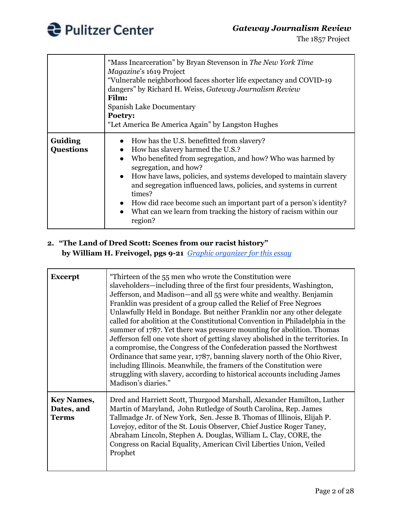

|                             | "Mass Incarceration" by Bryan Stevenson in The New York Time<br>Magazine's 1619 Project<br>"Vulnerable neighborhood faces shorter life expectancy and COVID-19<br>dangers" by Richard H. Weiss, Gateway Journalism Review<br>Film:<br><b>Spanish Lake Documentary</b><br>Poetry:<br>"Let America Be America Again" by Langston Hughes                                                                                                                                                                                              |
|-----------------------------|------------------------------------------------------------------------------------------------------------------------------------------------------------------------------------------------------------------------------------------------------------------------------------------------------------------------------------------------------------------------------------------------------------------------------------------------------------------------------------------------------------------------------------|
| Guiding<br><b>Questions</b> | How has the U.S. benefitted from slavery?<br>How has slavery harmed the U.S.?<br>$\bullet$<br>Who benefited from segregation, and how? Who was harmed by<br>$\bullet$<br>segregation, and how?<br>How have laws, policies, and systems developed to maintain slavery<br>$\bullet$<br>and segregation influenced laws, policies, and systems in current<br>times?<br>How did race become such an important part of a person's identity?<br>What can we learn from tracking the history of racism within our<br>$\bullet$<br>region? |

# **2. "The Land of Dred Scott: Scenes from our racist history" by William H. Freivogel, pgs 9-21** *Graphic [organizer](https://docs.google.com/document/d/1Uaccx8uzFpTDCBU9Eq8F_EycQ0fo-hl9L65EXelj8LE/edit) for this essay*

| <b>Excerpt</b>                                  | "Thirteen of the 55 men who wrote the Constitution were<br>slaveholders—including three of the first four presidents, Washington,<br>Jefferson, and Madison-and all 55 were white and wealthy. Benjamin<br>Franklin was president of a group called the Relief of Free Negroes<br>Unlawfully Held in Bondage. But neither Franklin nor any other delegate<br>called for abolition at the Constitutional Convention in Philadelphia in the<br>summer of 1787. Yet there was pressure mounting for abolition. Thomas<br>Jefferson fell one vote short of getting slavey abolished in the territories. In<br>a compromise, the Congress of the Confederation passed the Northwest<br>Ordinance that same year, 1787, banning slavery north of the Ohio River,<br>including Illinois. Meanwhile, the framers of the Constitution were<br>struggling with slavery, according to historical accounts including James<br>Madison's diaries." |
|-------------------------------------------------|---------------------------------------------------------------------------------------------------------------------------------------------------------------------------------------------------------------------------------------------------------------------------------------------------------------------------------------------------------------------------------------------------------------------------------------------------------------------------------------------------------------------------------------------------------------------------------------------------------------------------------------------------------------------------------------------------------------------------------------------------------------------------------------------------------------------------------------------------------------------------------------------------------------------------------------|
| <b>Key Names,</b><br>Dates, and<br><b>Terms</b> | Dred and Harriett Scott, Thurgood Marshall, Alexander Hamilton, Luther<br>Martin of Maryland, John Rutledge of South Carolina, Rep. James<br>Tallmadge Jr. of New York, Sen. Jesse B. Thomas of Illinois, Elijah P.<br>Lovejoy, editor of the St. Louis Observer, Chief Justice Roger Taney,<br>Abraham Lincoln, Stephen A. Douglas, William L. Clay, CORE, the<br>Congress on Racial Equality, American Civil Liberties Union, Veiled<br>Prophet                                                                                                                                                                                                                                                                                                                                                                                                                                                                                     |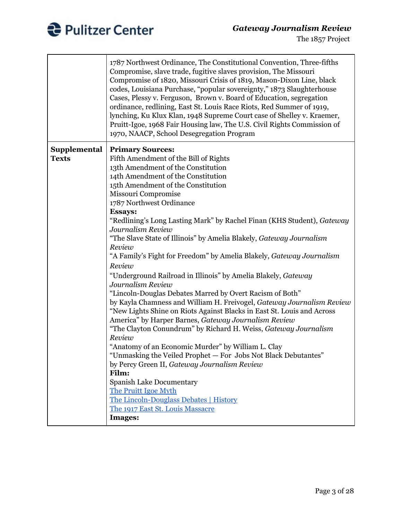

|              | 1787 Northwest Ordinance, The Constitutional Convention, Three-fifths<br>Compromise, slave trade, fugitive slaves provision, The Missouri<br>Compromise of 1820, Missouri Crisis of 1819, Mason-Dixon Line, black<br>codes, Louisiana Purchase, "popular sovereignty," 1873 Slaughterhouse<br>Cases, Plessy v. Ferguson, Brown v. Board of Education, segregation<br>ordinance, redlining, East St. Louis Race Riots, Red Summer of 1919,<br>lynching, Ku Klux Klan, 1948 Supreme Court case of Shelley v. Kraemer,<br>Pruitt-Igoe, 1968 Fair Housing law, The U.S. Civil Rights Commission of<br>1970, NAACP, School Desegregation Program |
|--------------|---------------------------------------------------------------------------------------------------------------------------------------------------------------------------------------------------------------------------------------------------------------------------------------------------------------------------------------------------------------------------------------------------------------------------------------------------------------------------------------------------------------------------------------------------------------------------------------------------------------------------------------------|
| Supplemental | <b>Primary Sources:</b>                                                                                                                                                                                                                                                                                                                                                                                                                                                                                                                                                                                                                     |
| <b>Texts</b> | Fifth Amendment of the Bill of Rights                                                                                                                                                                                                                                                                                                                                                                                                                                                                                                                                                                                                       |
|              | 13th Amendment of the Constitution                                                                                                                                                                                                                                                                                                                                                                                                                                                                                                                                                                                                          |
|              | 14th Amendment of the Constitution                                                                                                                                                                                                                                                                                                                                                                                                                                                                                                                                                                                                          |
|              | 15th Amendment of the Constitution                                                                                                                                                                                                                                                                                                                                                                                                                                                                                                                                                                                                          |
|              | Missouri Compromise                                                                                                                                                                                                                                                                                                                                                                                                                                                                                                                                                                                                                         |
|              | 1787 Northwest Ordinance                                                                                                                                                                                                                                                                                                                                                                                                                                                                                                                                                                                                                    |
|              | <b>Essays:</b>                                                                                                                                                                                                                                                                                                                                                                                                                                                                                                                                                                                                                              |
|              | "Redlining's Long Lasting Mark" by Rachel Finan (KHS Student), Gateway                                                                                                                                                                                                                                                                                                                                                                                                                                                                                                                                                                      |
|              | Journalism Review                                                                                                                                                                                                                                                                                                                                                                                                                                                                                                                                                                                                                           |
|              | "The Slave State of Illinois" by Amelia Blakely, Gateway Journalism                                                                                                                                                                                                                                                                                                                                                                                                                                                                                                                                                                         |
|              | Review                                                                                                                                                                                                                                                                                                                                                                                                                                                                                                                                                                                                                                      |
|              | "A Family's Fight for Freedom" by Amelia Blakely, Gateway Journalism                                                                                                                                                                                                                                                                                                                                                                                                                                                                                                                                                                        |
|              | Review                                                                                                                                                                                                                                                                                                                                                                                                                                                                                                                                                                                                                                      |
|              | "Underground Railroad in Illinois" by Amelia Blakely, Gateway<br>Journalism Review                                                                                                                                                                                                                                                                                                                                                                                                                                                                                                                                                          |
|              | "Lincoln-Douglas Debates Marred by Overt Racism of Both"                                                                                                                                                                                                                                                                                                                                                                                                                                                                                                                                                                                    |
|              | by Kayla Chamness and William H. Freivogel, Gateway Journalism Review                                                                                                                                                                                                                                                                                                                                                                                                                                                                                                                                                                       |
|              | "New Lights Shine on Riots Against Blacks in East St. Louis and Across                                                                                                                                                                                                                                                                                                                                                                                                                                                                                                                                                                      |
|              | America" by Harper Barnes, Gateway Journalism Review                                                                                                                                                                                                                                                                                                                                                                                                                                                                                                                                                                                        |
|              | "The Clayton Conundrum" by Richard H. Weiss, Gateway Journalism                                                                                                                                                                                                                                                                                                                                                                                                                                                                                                                                                                             |
|              | Review                                                                                                                                                                                                                                                                                                                                                                                                                                                                                                                                                                                                                                      |
|              | "Anatomy of an Economic Murder" by William L. Clay                                                                                                                                                                                                                                                                                                                                                                                                                                                                                                                                                                                          |
|              | "Unmasking the Veiled Prophet - For Jobs Not Black Debutantes"                                                                                                                                                                                                                                                                                                                                                                                                                                                                                                                                                                              |
|              | by Percy Green II, Gateway Journalism Review                                                                                                                                                                                                                                                                                                                                                                                                                                                                                                                                                                                                |
|              | Film:                                                                                                                                                                                                                                                                                                                                                                                                                                                                                                                                                                                                                                       |
|              | <b>Spanish Lake Documentary</b>                                                                                                                                                                                                                                                                                                                                                                                                                                                                                                                                                                                                             |
|              | The Pruitt Igoe Myth                                                                                                                                                                                                                                                                                                                                                                                                                                                                                                                                                                                                                        |
|              | The Lincoln-Douglass Debates   History                                                                                                                                                                                                                                                                                                                                                                                                                                                                                                                                                                                                      |
|              | The 1917 East St. Louis Massacre                                                                                                                                                                                                                                                                                                                                                                                                                                                                                                                                                                                                            |
|              | <b>Images:</b>                                                                                                                                                                                                                                                                                                                                                                                                                                                                                                                                                                                                                              |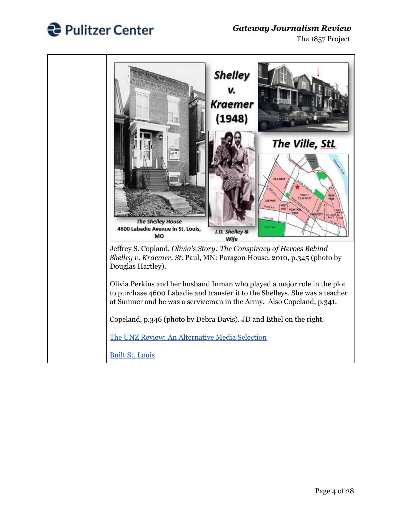

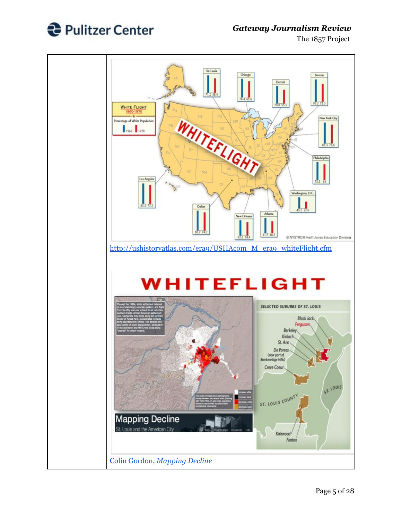

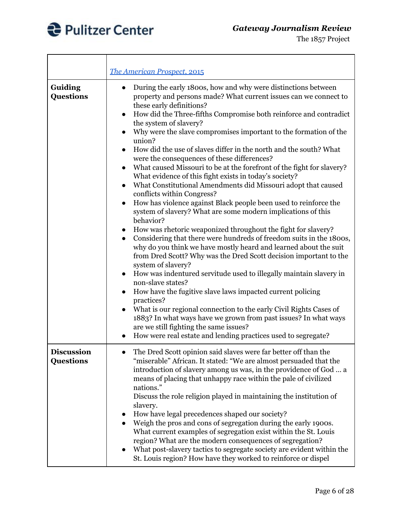

|                                       | The American Prospect, 2015                                                                                                                                                                                                                                                                                                                                                                                                                                                                                                                                                                                                                                                                                                                                                                                                                                                                                                                                                                                                                                                                                                                                                                                                                                                                                                                                                                                                                                                                                                                                                                                                                                                                                           |
|---------------------------------------|-----------------------------------------------------------------------------------------------------------------------------------------------------------------------------------------------------------------------------------------------------------------------------------------------------------------------------------------------------------------------------------------------------------------------------------------------------------------------------------------------------------------------------------------------------------------------------------------------------------------------------------------------------------------------------------------------------------------------------------------------------------------------------------------------------------------------------------------------------------------------------------------------------------------------------------------------------------------------------------------------------------------------------------------------------------------------------------------------------------------------------------------------------------------------------------------------------------------------------------------------------------------------------------------------------------------------------------------------------------------------------------------------------------------------------------------------------------------------------------------------------------------------------------------------------------------------------------------------------------------------------------------------------------------------------------------------------------------------|
| Guiding<br><b>Questions</b>           | During the early 1800s, how and why were distinctions between<br>$\bullet$<br>property and persons made? What current issues can we connect to<br>these early definitions?<br>How did the Three-fifths Compromise both reinforce and contradict<br>$\bullet$<br>the system of slavery?<br>Why were the slave compromises important to the formation of the<br>union?<br>How did the use of slaves differ in the north and the south? What<br>$\bullet$<br>were the consequences of these differences?<br>What caused Missouri to be at the forefront of the fight for slavery?<br>$\bullet$<br>What evidence of this fight exists in today's society?<br>What Constitutional Amendments did Missouri adopt that caused<br>$\bullet$<br>conflicts within Congress?<br>How has violence against Black people been used to reinforce the<br>$\bullet$<br>system of slavery? What are some modern implications of this<br>behavior?<br>How was rhetoric weaponized throughout the fight for slavery?<br>Considering that there were hundreds of freedom suits in the 1800s,<br>$\bullet$<br>why do you think we have mostly heard and learned about the suit<br>from Dred Scott? Why was the Dred Scott decision important to the<br>system of slavery?<br>How was indentured servitude used to illegally maintain slavery in<br>$\bullet$<br>non-slave states?<br>How have the fugitive slave laws impacted current policing<br>$\bullet$<br>practices?<br>What is our regional connection to the early Civil Rights Cases of<br>$\bullet$<br>1883? In what ways have we grown from past issues? In what ways<br>are we still fighting the same issues?<br>How were real estate and lending practices used to segregate? |
| <b>Discussion</b><br><b>Questions</b> | The Dred Scott opinion said slaves were far better off than the<br>"miserable" African. It stated: "We are almost persuaded that the<br>introduction of slavery among us was, in the providence of God  a<br>means of placing that unhappy race within the pale of civilized<br>nations."<br>Discuss the role religion played in maintaining the institution of<br>slavery.<br>How have legal precedences shaped our society?<br>Weigh the pros and cons of segregation during the early 1900s.<br>What current examples of segregation exist within the St. Louis<br>region? What are the modern consequences of segregation?<br>What post-slavery tactics to segregate society are evident within the<br>$\bullet$<br>St. Louis region? How have they worked to reinforce or dispel                                                                                                                                                                                                                                                                                                                                                                                                                                                                                                                                                                                                                                                                                                                                                                                                                                                                                                                                 |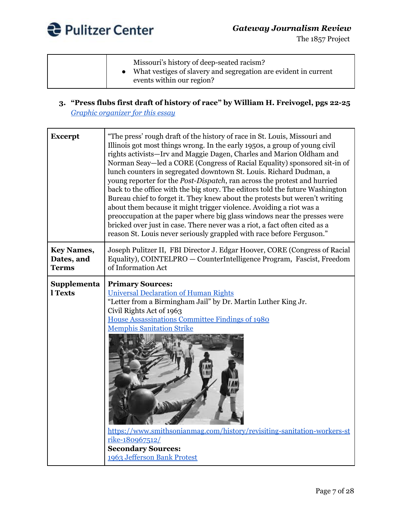

|  | Missouri's history of deep-seated racism?<br>What vestiges of slavery and segregation are evident in current<br>events within our region? |
|--|-------------------------------------------------------------------------------------------------------------------------------------------|
|--|-------------------------------------------------------------------------------------------------------------------------------------------|

## **3. "Press flubs first draft of history of race" by William H. Freivogel, pgs 22-25** *Graphic [organizer](https://docs.google.com/document/d/1-nGeZ9QKIkAxP_W01Cmbk2Vz_MzQASYUKpbTp29xUmE/edit) for this essay*

| <b>Excerpt</b>                           | "The press' rough draft of the history of race in St. Louis, Missouri and<br>Illinois got most things wrong. In the early 1950s, a group of young civil<br>rights activists—Irv and Maggie Dagen, Charles and Marion Oldham and<br>Norman Seay-led a CORE (Congress of Racial Equality) sponsored sit-in of<br>lunch counters in segregated downtown St. Louis. Richard Dudman, a<br>young reporter for the Post-Dispatch, ran across the protest and hurried<br>back to the office with the big story. The editors told the future Washington<br>Bureau chief to forget it. They knew about the protests but weren't writing<br>about them because it might trigger violence. Avoiding a riot was a<br>preoccupation at the paper where big glass windows near the presses were<br>bricked over just in case. There never was a riot, a fact often cited as a<br>reason St. Louis never seriously grappled with race before Ferguson." |
|------------------------------------------|-----------------------------------------------------------------------------------------------------------------------------------------------------------------------------------------------------------------------------------------------------------------------------------------------------------------------------------------------------------------------------------------------------------------------------------------------------------------------------------------------------------------------------------------------------------------------------------------------------------------------------------------------------------------------------------------------------------------------------------------------------------------------------------------------------------------------------------------------------------------------------------------------------------------------------------------|
| <b>Key Names,</b><br>Dates, and<br>Terms | Joseph Pulitzer II, FBI Director J. Edgar Hoover, CORE (Congress of Racial<br>Equality), COINTELPRO - CounterIntelligence Program, Fascist, Freedom<br>of Information Act                                                                                                                                                                                                                                                                                                                                                                                                                                                                                                                                                                                                                                                                                                                                                               |
| Supplementa<br>l Texts                   | <b>Primary Sources:</b><br><b>Universal Declaration of Human Rights</b><br>"Letter from a Birmingham Jail" by Dr. Martin Luther King Jr.<br>Civil Rights Act of 1963<br>House Assassinations Committee Findings of 1980<br><b>Memphis Sanitation Strike</b><br>https://www.smithsonianmag.com/history/revisiting-sanitation-workers-st<br>rike-180967512/<br><b>Secondary Sources:</b><br>1963 Jefferson Bank Protest                                                                                                                                                                                                                                                                                                                                                                                                                                                                                                                   |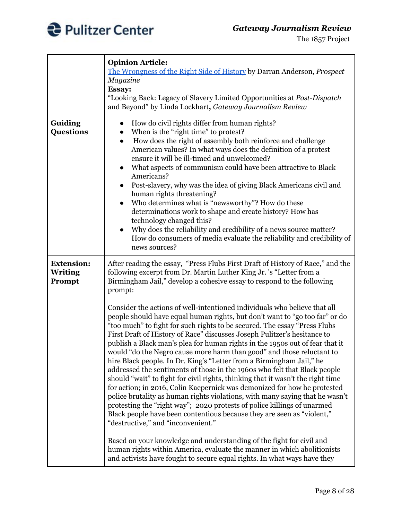

|                                               | <b>Opinion Article:</b><br>The Wrongness of the Right Side of History by Darran Anderson, <i>Prospect</i><br>Magazine<br><b>Essay:</b><br>"Looking Back: Legacy of Slavery Limited Opportunities at Post-Dispatch<br>and Beyond" by Linda Lockhart, Gateway Journalism Review                                                                                                                                                                                                                                                                                                                                                                                                                                                                                                                                                                                                                                                                                                                                                                                                                                                                                                                                                                                                                                           |
|-----------------------------------------------|-------------------------------------------------------------------------------------------------------------------------------------------------------------------------------------------------------------------------------------------------------------------------------------------------------------------------------------------------------------------------------------------------------------------------------------------------------------------------------------------------------------------------------------------------------------------------------------------------------------------------------------------------------------------------------------------------------------------------------------------------------------------------------------------------------------------------------------------------------------------------------------------------------------------------------------------------------------------------------------------------------------------------------------------------------------------------------------------------------------------------------------------------------------------------------------------------------------------------------------------------------------------------------------------------------------------------|
| Guiding<br><b>Questions</b>                   | How do civil rights differ from human rights?<br>$\bullet$<br>When is the "right time" to protest?<br>$\bullet$<br>How does the right of assembly both reinforce and challenge<br>$\bullet$<br>American values? In what ways does the definition of a protest<br>ensure it will be ill-timed and unwelcomed?<br>What aspects of communism could have been attractive to Black<br>$\bullet$<br>Americans?<br>Post-slavery, why was the idea of giving Black Americans civil and<br>$\bullet$<br>human rights threatening?<br>Who determines what is "newsworthy"? How do these<br>$\bullet$<br>determinations work to shape and create history? How has<br>technology changed this?<br>Why does the reliability and credibility of a news source matter?<br>$\bullet$<br>How do consumers of media evaluate the reliability and credibility of<br>news sources?                                                                                                                                                                                                                                                                                                                                                                                                                                                          |
| <b>Extension:</b><br><b>Writing</b><br>Prompt | After reading the essay, "Press Flubs First Draft of History of Race," and the<br>following excerpt from Dr. Martin Luther King Jr. 's "Letter from a<br>Birmingham Jail," develop a cohesive essay to respond to the following<br>prompt:<br>Consider the actions of well-intentioned individuals who believe that all<br>people should have equal human rights, but don't want to "go too far" or do<br>"too much" to fight for such rights to be secured. The essay "Press Flubs<br>First Draft of History of Race" discusses Joseph Pulitzer's hesitance to<br>publish a Black man's plea for human rights in the 1950s out of fear that it<br>would "do the Negro cause more harm than good" and those reluctant to<br>hire Black people. In Dr. King's "Letter from a Birmingham Jail," he<br>addressed the sentiments of those in the 1960s who felt that Black people<br>should "wait" to fight for civil rights, thinking that it wasn't the right time<br>for action; in 2016, Colin Kaepernick was demonized for how he protested<br>police brutality as human rights violations, with many saying that he wasn't<br>protesting the "right way"; 2020 protests of police killings of unarmed<br>Black people have been contentious because they are seen as "violent,"<br>"destructive," and "inconvenient." |
|                                               | Based on your knowledge and understanding of the fight for civil and<br>human rights within America, evaluate the manner in which abolitionists<br>and activists have fought to secure equal rights. In what ways have they                                                                                                                                                                                                                                                                                                                                                                                                                                                                                                                                                                                                                                                                                                                                                                                                                                                                                                                                                                                                                                                                                             |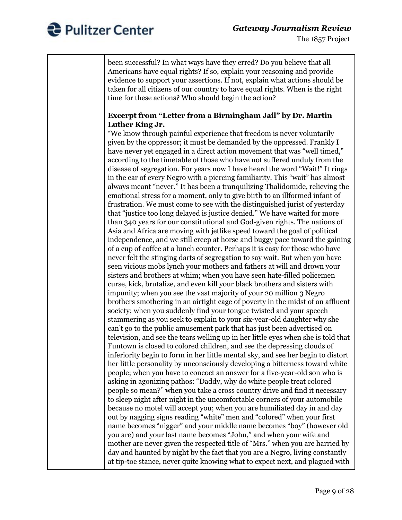

been successful? In what ways have they erred? Do you believe that all Americans have equal rights? If so, explain your reasoning and provide evidence to support your assertions. If not, explain what actions should be taken for all citizens of our country to have equal rights. When is the right time for these actions? Who should begin the action?

#### **Excerpt from "Letter from a Birmingham Jail" by Dr. Martin Luther King Jr.**

"We know through painful experience that freedom is never voluntarily given by the oppressor; it must be demanded by the oppressed. Frankly I have never yet engaged in a direct action movement that was "well timed," according to the timetable of those who have not suffered unduly from the disease of segregation. For years now I have heard the word "Wait!" It rings in the ear of every Negro with a piercing familiarity. This "wait" has almost always meant "never." It has been a tranquilizing Thalidomide, relieving the emotional stress for a moment, only to give birth to an illformed infant of frustration. We must come to see with the distinguished jurist of yesterday that "justice too long delayed is justice denied." We have waited for more than 340 years for our constitutional and God-given rights. The nations of Asia and Africa are moving with jetlike speed toward the goal of political independence, and we still creep at horse and buggy pace toward the gaining of a cup of coffee at a lunch counter. Perhaps it is easy for those who have never felt the stinging darts of segregation to say wait. But when you have seen vicious mobs lynch your mothers and fathers at will and drown your sisters and brothers at whim; when you have seen hate-filled policemen curse, kick, brutalize, and even kill your black brothers and sisters with impunity; when you see the vast majority of your 20 million 3 Negro brothers smothering in an airtight cage of poverty in the midst of an affluent society; when you suddenly find your tongue twisted and your speech stammering as you seek to explain to your six-year-old daughter why she can't go to the public amusement park that has just been advertised on television, and see the tears welling up in her little eyes when she is told that Funtown is closed to colored children, and see the depressing clouds of inferiority begin to form in her little mental sky, and see her begin to distort her little personality by unconsciously developing a bitterness toward white people; when you have to concoct an answer for a five-year-old son who is asking in agonizing pathos: "Daddy, why do white people treat colored people so mean?" when you take a cross country drive and find it necessary to sleep night after night in the uncomfortable corners of your automobile because no motel will accept you; when you are humiliated day in and day out by nagging signs reading "white" men and "colored" when your first name becomes "nigger" and your middle name becomes "boy" (however old you are) and your last name becomes "John," and when your wife and mother are never given the respected title of "Mrs." when you are harried by day and haunted by night by the fact that you are a Negro, living constantly at tip-toe stance, never quite knowing what to expect next, and plagued with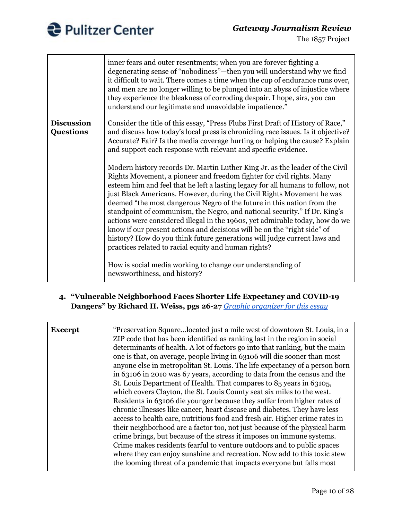

|                                       | inner fears and outer resentments; when you are forever fighting a<br>degenerating sense of "nobodiness"—then you will understand why we find<br>it difficult to wait. There comes a time when the cup of endurance runs over,<br>and men are no longer willing to be plunged into an abyss of injustice where<br>they experience the bleakness of corroding despair. I hope, sirs, you can<br>understand our legitimate and unavoidable impatience."                                                                                                                                                                                                                                                                                                                                                                                                                                                                                                                                                                                                                                                                                                           |
|---------------------------------------|-----------------------------------------------------------------------------------------------------------------------------------------------------------------------------------------------------------------------------------------------------------------------------------------------------------------------------------------------------------------------------------------------------------------------------------------------------------------------------------------------------------------------------------------------------------------------------------------------------------------------------------------------------------------------------------------------------------------------------------------------------------------------------------------------------------------------------------------------------------------------------------------------------------------------------------------------------------------------------------------------------------------------------------------------------------------------------------------------------------------------------------------------------------------|
| <b>Discussion</b><br><b>Questions</b> | Consider the title of this essay, "Press Flubs First Draft of History of Race,"<br>and discuss how today's local press is chronicling race issues. Is it objective?<br>Accurate? Fair? Is the media coverage hurting or helping the cause? Explain<br>and support each response with relevant and specific evidence.<br>Modern history records Dr. Martin Luther King Jr. as the leader of the Civil<br>Rights Movement, a pioneer and freedom fighter for civil rights. Many<br>esteem him and feel that he left a lasting legacy for all humans to follow, not<br>just Black Americans. However, during the Civil Rights Movement he was<br>deemed "the most dangerous Negro of the future in this nation from the<br>standpoint of communism, the Negro, and national security." If Dr. King's<br>actions were considered illegal in the 1960s, yet admirable today, how do we<br>know if our present actions and decisions will be on the "right side" of<br>history? How do you think future generations will judge current laws and<br>practices related to racial equity and human rights?<br>How is social media working to change our understanding of |
|                                       | newsworthiness, and history?                                                                                                                                                                                                                                                                                                                                                                                                                                                                                                                                                                                                                                                                                                                                                                                                                                                                                                                                                                                                                                                                                                                                    |

# **4. "Vulnerable Neighborhood Faces Shorter Life Expectancy and COVID-19 Dangers" by Richard H. Weiss, pgs 26-27** *Graphic [organizer](https://docs.google.com/document/d/1NDHoiV193GPTQuoFTJPUpdBW7HicYo6zC1xF7K9uBXs/edit) for this essay*

| <b>Excerpt</b> | "Preservation Square located just a mile west of downtown St. Louis, in a<br>ZIP code that has been identified as ranking last in the region in social<br>determinants of health. A lot of factors go into that ranking, but the main<br>one is that, on average, people living in 63106 will die sooner than most<br>anyone else in metropolitan St. Louis. The life expectancy of a person born<br>in 63106 in 2010 was 67 years, according to data from the census and the<br>St. Louis Department of Health. That compares to 85 years in 63105,<br>which covers Clayton, the St. Louis County seat six miles to the west.<br>Residents in 63106 die younger because they suffer from higher rates of<br>chronic illnesses like cancer, heart disease and diabetes. They have less<br>access to health care, nutritious food and fresh air. Higher crime rates in<br>their neighborhood are a factor too, not just because of the physical harm<br>crime brings, but because of the stress it imposes on immune systems.<br>Crime makes residents fearful to venture outdoors and to public spaces |
|----------------|--------------------------------------------------------------------------------------------------------------------------------------------------------------------------------------------------------------------------------------------------------------------------------------------------------------------------------------------------------------------------------------------------------------------------------------------------------------------------------------------------------------------------------------------------------------------------------------------------------------------------------------------------------------------------------------------------------------------------------------------------------------------------------------------------------------------------------------------------------------------------------------------------------------------------------------------------------------------------------------------------------------------------------------------------------------------------------------------------------|
|                | where they can enjoy sunshine and recreation. Now add to this toxic stew<br>the looming threat of a pandemic that impacts everyone but falls most                                                                                                                                                                                                                                                                                                                                                                                                                                                                                                                                                                                                                                                                                                                                                                                                                                                                                                                                                      |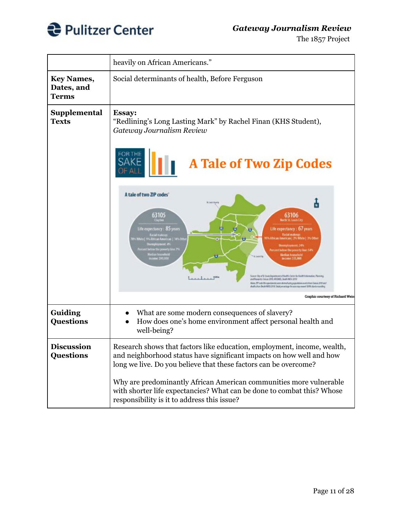

|                                                 | heavily on African Americans."                                                                                                                                                                                                                                                                                                                                                                                                                                                                                                                                                                                                                                                                                                                                                                                                                                                      |
|-------------------------------------------------|-------------------------------------------------------------------------------------------------------------------------------------------------------------------------------------------------------------------------------------------------------------------------------------------------------------------------------------------------------------------------------------------------------------------------------------------------------------------------------------------------------------------------------------------------------------------------------------------------------------------------------------------------------------------------------------------------------------------------------------------------------------------------------------------------------------------------------------------------------------------------------------|
| <b>Key Names,</b><br>Dates, and<br><b>Terms</b> | Social determinants of health, Before Ferguson                                                                                                                                                                                                                                                                                                                                                                                                                                                                                                                                                                                                                                                                                                                                                                                                                                      |
| <b>Supplemental</b><br><b>Texts</b>             | <b>Essay:</b><br>"Redlining's Long Lasting Mark" by Rachel Finan (KHS Student),<br>Gateway Journalism Review<br><b>A Tale of Two Zip Codes</b>                                                                                                                                                                                                                                                                                                                                                                                                                                                                                                                                                                                                                                                                                                                                      |
|                                                 | A tale of two ZIP codes'<br>Н<br><b>M. Laule Gourd</b><br>63105<br>63106<br><b>North St. Louis City</b><br>Life expectancy: 85 years<br>Life expectancy: 67 years<br>IS White   9% African American   14% 0<br>5% African American   2% White   3% Other<br>ployment 4%<br><b>Unemployment: 24%</b><br>Percent below the poverty line: 7%<br>Percent below the poverty line: 54%<br>Kedian household<br>Income: \$90,000<br><b>Hedian household</b><br>* Is. Lean Oby<br>income: 515,000<br>Society. Oly of St. Louis Department of Nealth-Center for Nealth Information, Plenning,<br>enatifics eards; Census 2010; MODWSS, Death AWCA 2010<br>Notes: 2011 code file expectancies were derived using population asures from Consci 2010 and<br>deaths from Deuth MRTA 2018. Sotal percentage for race may exceed 300% due to rounding.<br><b>Graphic courtesy of Richard Weiss</b> |
| Guiding<br><b>Questions</b>                     | What are some modern consequences of slavery?<br>How does one's home environment affect personal health and<br>well-being?                                                                                                                                                                                                                                                                                                                                                                                                                                                                                                                                                                                                                                                                                                                                                          |
| <b>Discussion</b><br><b>Questions</b>           | Research shows that factors like education, employment, income, wealth,<br>and neighborhood status have significant impacts on how well and how<br>long we live. Do you believe that these factors can be overcome?                                                                                                                                                                                                                                                                                                                                                                                                                                                                                                                                                                                                                                                                 |
|                                                 | Why are predominantly African American communities more vulnerable<br>with shorter life expectancies? What can be done to combat this? Whose<br>responsibility is it to address this issue?                                                                                                                                                                                                                                                                                                                                                                                                                                                                                                                                                                                                                                                                                         |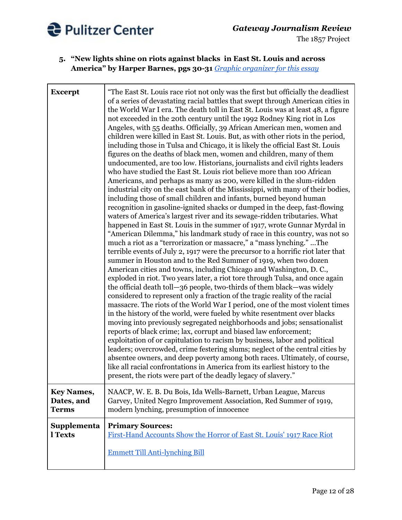

# **5. "New lights shine on riots against blacks in East St. Louis and across America" by Harper Barnes, pgs 30-31** *Graphic [organizer](https://docs.google.com/document/d/1q8a68AMmd8iw97LlZ_rJnbo14D9yxbTC4m7GHrhdyXo/edit) for this essay*

| <b>Excerpt</b>                                  | "The East St. Louis race riot not only was the first but officially the deadliest<br>of a series of devastating racial battles that swept through American cities in<br>the World War I era. The death toll in East St. Louis was at least 48, a figure<br>not exceeded in the 20th century until the 1992 Rodney King riot in Los<br>Angeles, with 55 deaths. Officially, 39 African American men, women and<br>children were killed in East St. Louis. But, as with other riots in the period,<br>including those in Tulsa and Chicago, it is likely the official East St. Louis<br>figures on the deaths of black men, women and children, many of them<br>undocumented, are too low. Historians, journalists and civil rights leaders<br>who have studied the East St. Louis riot believe more than 100 African<br>Americans, and perhaps as many as 200, were killed in the slum-ridden<br>industrial city on the east bank of the Mississippi, with many of their bodies,<br>including those of small children and infants, burned beyond human<br>recognition in gasoline-ignited shacks or dumped in the deep, fast-flowing<br>waters of America's largest river and its sewage-ridden tributaries. What<br>happened in East St. Louis in the summer of 1917, wrote Gunnar Myrdal in<br>"American Dilemma," his landmark study of race in this country, was not so<br>much a riot as a "terrorization or massacre," a "mass lynching." The<br>terrible events of July 2, 1917 were the precursor to a horrific riot later that<br>summer in Houston and to the Red Summer of 1919, when two dozen<br>American cities and towns, including Chicago and Washington, D.C.,<br>exploded in riot. Two years later, a riot tore through Tulsa, and once again<br>the official death toll-36 people, two-thirds of them black-was widely<br>considered to represent only a fraction of the tragic reality of the racial<br>massacre. The riots of the World War I period, one of the most violent times<br>in the history of the world, were fueled by white resentment over blacks<br>moving into previously segregated neighborhoods and jobs; sensationalist<br>reports of black crime; lax, corrupt and biased law enforcement;<br>exploitation of or capitulation to racism by business, labor and political<br>leaders; overcrowded, crime festering slums; neglect of the central cities by<br>absentee owners, and deep poverty among both races. Ultimately, of course,<br>like all racial confrontations in America from its earliest history to the<br>present, the riots were part of the deadly legacy of slavery." |
|-------------------------------------------------|-----------------------------------------------------------------------------------------------------------------------------------------------------------------------------------------------------------------------------------------------------------------------------------------------------------------------------------------------------------------------------------------------------------------------------------------------------------------------------------------------------------------------------------------------------------------------------------------------------------------------------------------------------------------------------------------------------------------------------------------------------------------------------------------------------------------------------------------------------------------------------------------------------------------------------------------------------------------------------------------------------------------------------------------------------------------------------------------------------------------------------------------------------------------------------------------------------------------------------------------------------------------------------------------------------------------------------------------------------------------------------------------------------------------------------------------------------------------------------------------------------------------------------------------------------------------------------------------------------------------------------------------------------------------------------------------------------------------------------------------------------------------------------------------------------------------------------------------------------------------------------------------------------------------------------------------------------------------------------------------------------------------------------------------------------------------------------------------------------------------------------------------------------------------------------------------------------------------------------------------------------------------------------------------------------------------------------------------------------------------------------------------------------------------------------------------------------------------------------------------------------------------------------------------------------------------------------------------------------------------------------------|
| <b>Key Names,</b><br>Dates, and<br><b>Terms</b> | NAACP, W. E. B. Du Bois, Ida Wells-Barnett, Urban League, Marcus<br>Garvey, United Negro Improvement Association, Red Summer of 1919,<br>modern lynching, presumption of innocence                                                                                                                                                                                                                                                                                                                                                                                                                                                                                                                                                                                                                                                                                                                                                                                                                                                                                                                                                                                                                                                                                                                                                                                                                                                                                                                                                                                                                                                                                                                                                                                                                                                                                                                                                                                                                                                                                                                                                                                                                                                                                                                                                                                                                                                                                                                                                                                                                                                |
| Supplementa<br>l Texts                          | <b>Primary Sources:</b><br>First-Hand Accounts Show the Horror of East St. Louis' 1917 Race Riot<br><b>Emmett Till Anti-lynching Bill</b>                                                                                                                                                                                                                                                                                                                                                                                                                                                                                                                                                                                                                                                                                                                                                                                                                                                                                                                                                                                                                                                                                                                                                                                                                                                                                                                                                                                                                                                                                                                                                                                                                                                                                                                                                                                                                                                                                                                                                                                                                                                                                                                                                                                                                                                                                                                                                                                                                                                                                         |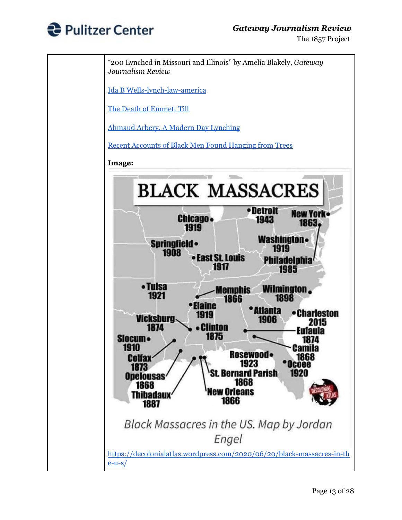

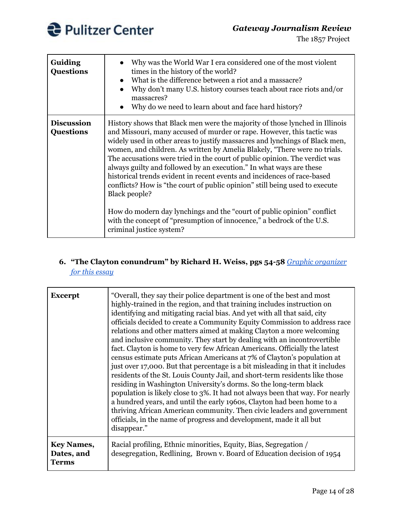

The 1857 Project

| Guiding<br><b>Questions</b>           | Why was the World War I era considered one of the most violent<br>times in the history of the world?<br>What is the difference between a riot and a massacre?<br>Why don't many U.S. history courses teach about race riots and/or<br>massacres?<br>Why do we need to learn about and face hard history?                                                                                                                                                                                                                                                                                                                                                                                                                                                                                                                         |
|---------------------------------------|----------------------------------------------------------------------------------------------------------------------------------------------------------------------------------------------------------------------------------------------------------------------------------------------------------------------------------------------------------------------------------------------------------------------------------------------------------------------------------------------------------------------------------------------------------------------------------------------------------------------------------------------------------------------------------------------------------------------------------------------------------------------------------------------------------------------------------|
| <b>Discussion</b><br><b>Questions</b> | History shows that Black men were the majority of those lynched in Illinois<br>and Missouri, many accused of murder or rape. However, this tactic was<br>widely used in other areas to justify massacres and lynchings of Black men,<br>women, and children. As written by Amelia Blakely, "There were no trials.<br>The accusations were tried in the court of public opinion. The verdict was<br>always guilty and followed by an execution." In what ways are these<br>historical trends evident in recent events and incidences of race-based<br>conflicts? How is "the court of public opinion" still being used to execute<br>Black people?<br>How do modern day lynchings and the "court of public opinion" conflict<br>with the concept of "presumption of innocence," a bedrock of the U.S.<br>criminal justice system? |

# **6. "The Clayton conundrum" by Richard H. Weiss, pgs 54-58** *Graphic [organizer](https://docs.google.com/document/d/1NDHoiV193GPTQuoFTJPUpdBW7HicYo6zC1xF7K9uBXs/edit) for this [essay](https://docs.google.com/document/d/1NDHoiV193GPTQuoFTJPUpdBW7HicYo6zC1xF7K9uBXs/edit)*

| <b>Excerpt</b>                                  | "Overall, they say their police department is one of the best and most<br>highly-trained in the region, and that training includes instruction on<br>identifying and mitigating racial bias. And yet with all that said, city<br>officials decided to create a Community Equity Commission to address race<br>relations and other matters aimed at making Clayton a more welcoming<br>and inclusive community. They start by dealing with an incontrovertible<br>fact. Clayton is home to very few African Americans. Officially the latest<br>census estimate puts African Americans at 7% of Clayton's population at<br>just over 17,000. But that percentage is a bit misleading in that it includes<br>residents of the St. Louis County Jail, and short-term residents like those<br>residing in Washington University's dorms. So the long-term black<br>population is likely close to 3%. It had not always been that way. For nearly<br>a hundred years, and until the early 1960s, Clayton had been home to a<br>thriving African American community. Then civic leaders and government<br>officials, in the name of progress and development, made it all but<br>disappear." |
|-------------------------------------------------|----------------------------------------------------------------------------------------------------------------------------------------------------------------------------------------------------------------------------------------------------------------------------------------------------------------------------------------------------------------------------------------------------------------------------------------------------------------------------------------------------------------------------------------------------------------------------------------------------------------------------------------------------------------------------------------------------------------------------------------------------------------------------------------------------------------------------------------------------------------------------------------------------------------------------------------------------------------------------------------------------------------------------------------------------------------------------------------------------------------------------------------------------------------------------------------|
| <b>Key Names,</b><br>Dates, and<br><b>Terms</b> | Racial profiling, Ethnic minorities, Equity, Bias, Segregation /<br>desegregation, Redlining, Brown v. Board of Education decision of 1954                                                                                                                                                                                                                                                                                                                                                                                                                                                                                                                                                                                                                                                                                                                                                                                                                                                                                                                                                                                                                                             |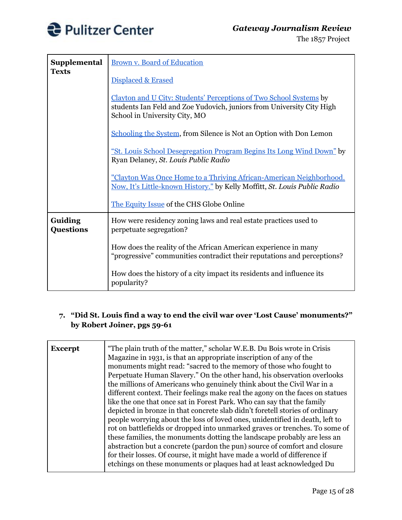

| Supplemental<br><b>Texts</b> | <b>Brown v. Board of Education</b>                                                                                                                                           |
|------------------------------|------------------------------------------------------------------------------------------------------------------------------------------------------------------------------|
|                              | Displaced & Erased                                                                                                                                                           |
|                              | Clayton and U City: Students' Perceptions of Two School Systems by<br>students Ian Feld and Zoe Yudovich, juniors from University City High<br>School in University City, MO |
|                              | <b>Schooling the System, from Silence is Not an Option with Don Lemon</b>                                                                                                    |
|                              | <u>"St. Louis School Desegregation Program Begins Its Long Wind Down"</u> by<br>Ryan Delaney, St. Louis Public Radio                                                         |
|                              | <u>"Clayton Was Once Home to a Thriving African-American Neighborhood.</u><br>Now, It's Little-known History." by Kelly Moffitt, St. Louis Public Radio                      |
|                              | The Equity Issue of the CHS Globe Online                                                                                                                                     |
| Guiding<br><b>Questions</b>  | How were residency zoning laws and real estate practices used to<br>perpetuate segregation?                                                                                  |
|                              | How does the reality of the African American experience in many<br>"progressive" communities contradict their reputations and perceptions?                                   |
|                              | How does the history of a city impact its residents and influence its<br>popularity?                                                                                         |

# **7. "Did St. Louis find a way to end the civil war over 'Lost Cause' monuments?" by Robert Joiner, pgs 59-61**

| <b>Excerpt</b> | "The plain truth of the matter," scholar W.E.B. Du Bois wrote in Crisis       |
|----------------|-------------------------------------------------------------------------------|
|                | Magazine in 1931, is that an appropriate inscription of any of the            |
|                | monuments might read: "sacred to the memory of those who fought to            |
|                | Perpetuate Human Slavery." On the other hand, his observation overlooks       |
|                | the millions of Americans who genuinely think about the Civil War in a        |
|                | different context. Their feelings make real the agony on the faces on statues |
|                | like the one that once sat in Forest Park. Who can say that the family        |
|                | depicted in bronze in that concrete slab didn't foretell stories of ordinary  |
|                | people worrying about the loss of loved ones, unidentified in death, left to  |
|                | rot on battlefields or dropped into unmarked graves or trenches. To some of   |
|                | these families, the monuments dotting the landscape probably are less an      |
|                | abstraction but a concrete (pardon the pun) source of comfort and closure     |
|                | for their losses. Of course, it might have made a world of difference if      |
|                | etchings on these monuments or plaques had at least acknowledged Du           |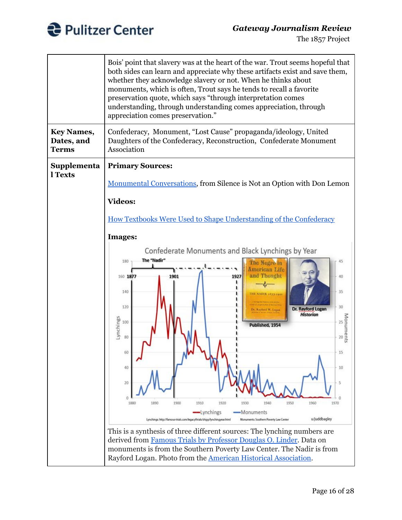

|                                                 | Bois' point that slavery was at the heart of the war. Trout seems hopeful that<br>both sides can learn and appreciate why these artifacts exist and save them,<br>whether they acknowledge slavery or not. When he thinks about<br>monuments, which is often, Trout says he tends to recall a favorite<br>preservation quote, which says "through interpretation comes<br>understanding, through understanding comes appreciation, through<br>appreciation comes preservation."                                                                                                                                  |
|-------------------------------------------------|------------------------------------------------------------------------------------------------------------------------------------------------------------------------------------------------------------------------------------------------------------------------------------------------------------------------------------------------------------------------------------------------------------------------------------------------------------------------------------------------------------------------------------------------------------------------------------------------------------------|
| <b>Key Names,</b><br>Dates, and<br><b>Terms</b> | Confederacy, Monument, "Lost Cause" propaganda/ideology, United<br>Daughters of the Confederacy, Reconstruction, Confederate Monument<br>Association                                                                                                                                                                                                                                                                                                                                                                                                                                                             |
| Supplementa<br>l Texts                          | <b>Primary Sources:</b><br><b>Monumental Conversations, from Silence is Not an Option with Don Lemon</b><br><b>Videos:</b><br><u>How Textbooks Were Used to Shape Understanding of the Confederacy</u><br><b>Images:</b><br>Confederate Monuments and Black Lynchings by Year<br>The "Nadir"<br>180<br>45<br>te Nestro.<br>American Life<br>and Thought<br>1927<br>160 1877<br>1901<br>40<br>140<br>35<br>ADIR 1877-1951<br>120<br>30<br>Dr. Rayford Logan<br>Dr. Rayford W. Logan<br><b>Historian</b><br>Monuments<br>Monuments<br>Lynchings<br>100<br>Published, 1954<br>80<br>15<br>60<br>40<br>10<br>20<br>5 |
|                                                 | $\theta$<br>1900<br>1910<br>1960<br>1890<br>1920<br>1940<br>1950<br>1880<br>1930<br>1970<br>-Lynchings<br>-Monuments<br>u/juddbagley<br>Lynchings: http://famous-trials.com/legacyftrials/shipp/lynchingyear.html<br>Monuments: Southern Poverty Law Center<br>This is a synthesis of three different sources: The lynching numbers are<br>derived from Famous Trials by Professor Douglas O. Linder. Data on<br>monuments is from the Southern Poverty Law Center. The Nadir is from<br>Rayford Logan. Photo from the American Historical Association.                                                          |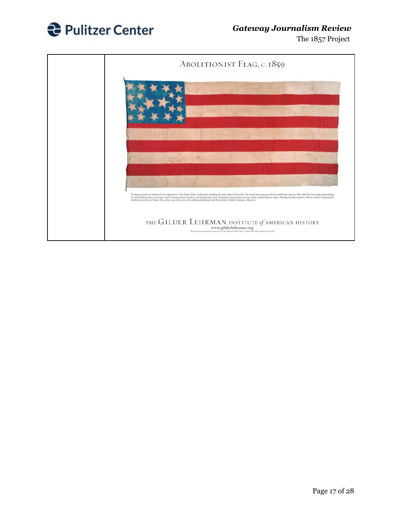

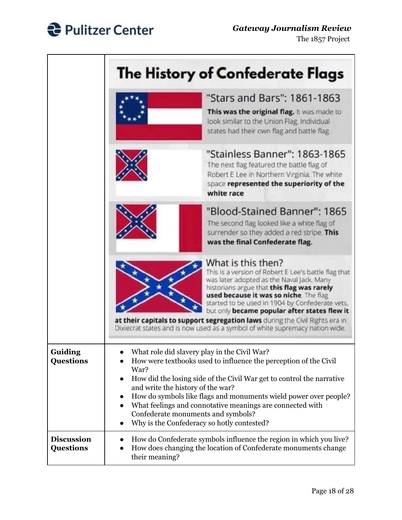

|                                       |                                                                                                           | <b>The History of Confederate Flags</b>                                                                                                                                                                                                                                                                                                                                                                                                                                            |
|---------------------------------------|-----------------------------------------------------------------------------------------------------------|------------------------------------------------------------------------------------------------------------------------------------------------------------------------------------------------------------------------------------------------------------------------------------------------------------------------------------------------------------------------------------------------------------------------------------------------------------------------------------|
|                                       |                                                                                                           | "Stars and Bars": 1861-1863<br>This was the original flag. It was made to<br>look similar to the Union Flag. Individual<br>states had their own flag and battle flag.                                                                                                                                                                                                                                                                                                              |
|                                       |                                                                                                           | "Stainless Banner": 1863-1865<br>The next flag featured the battle flag of<br>Robert E Lee in Northern Virginia. The white<br>space represented the superiority of the<br>white race                                                                                                                                                                                                                                                                                               |
|                                       |                                                                                                           | "Blood-Stained Banner": 1865<br>The second flag looked like a white flag of<br>surrender so they added a red stripe. This<br>was the final Confederate flag.                                                                                                                                                                                                                                                                                                                       |
|                                       |                                                                                                           | What is this then?<br>This is a version of Robert E Lee's battle flag that<br>was later adopted as the Naval Jack. Many<br>historians argue that this flag was rarely<br>used because it was so niche. The flag<br>started to be used in 1904 by Confederate vets,<br>but only became popular after states flew it<br>at their capitals to support segregation laws during the Civil Rights era in<br>Dixiecrat states and is now used as a symbol of white supremacy nation wide. |
| Guiding<br><b>Questions</b>           | War?<br>and write the history of the war?<br>$\bullet$<br>$\bullet$<br>Confederate monuments and symbols? | What role did slavery play in the Civil War?<br>How were textbooks used to influence the perception of the Civil<br>How did the losing side of the Civil War get to control the narrative<br>How do symbols like flags and monuments wield power over people?<br>What feelings and connotative meanings are connected with<br>Why is the Confederacy so hotly contested?                                                                                                           |
| <b>Discussion</b><br><b>Questions</b> | their meaning?                                                                                            | How do Confederate symbols influence the region in which you live?<br>How does changing the location of Confederate monuments change                                                                                                                                                                                                                                                                                                                                               |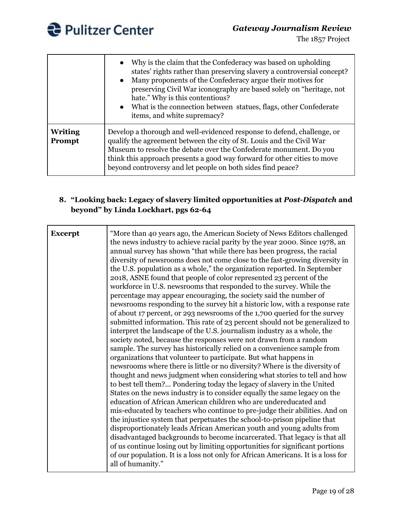



|                          | Why is the claim that the Confederacy was based on upholding<br>states' rights rather than preserving slavery a controversial concept?<br>Many proponents of the Confederacy argue their motives for<br>$\bullet$<br>preserving Civil War iconography are based solely on "heritage, not<br>hate." Why is this contentious?<br>• What is the connection between statues, flags, other Confederate<br>items, and white supremacy? |  |
|--------------------------|----------------------------------------------------------------------------------------------------------------------------------------------------------------------------------------------------------------------------------------------------------------------------------------------------------------------------------------------------------------------------------------------------------------------------------|--|
| <b>Writing</b><br>Prompt | Develop a thorough and well-evidenced response to defend, challenge, or<br>qualify the agreement between the city of St. Louis and the Civil War<br>Museum to resolve the debate over the Confederate monument. Do you<br>think this approach presents a good way forward for other cities to move<br>beyond controversy and let people on both sides find peace?                                                                |  |

# **8. "Looking back: Legacy of slavery limited opportunities at** *Post-Dispatch* **and beyond" by Linda Lockhart, pgs 62-64**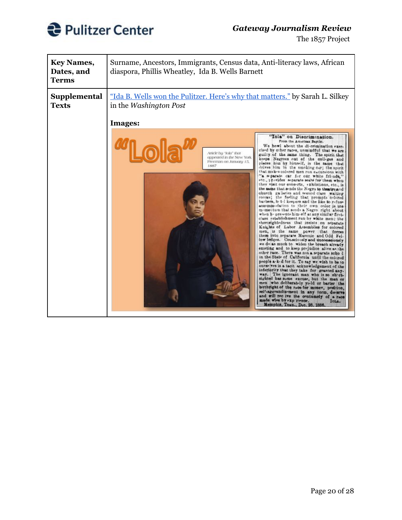

| <b>Key Names,</b><br>Dates, and<br><b>Terms</b> | Surname, Ancestors, Immigrants, Census data, Anti-literacy laws, African<br>diaspora, Phillis Wheatley, Ida B. Wells Barnett |                                                                                                                                                                                                                                                                                                                                                                                                                                                                                                                                                                                                                                                                                                                                                                                                                                                                                                                                                                                                                                                                                                                                                                                                                                                                                                                                                                                                                                                                                                                                                                                                                                                                                                                                                                                                                           |
|-------------------------------------------------|------------------------------------------------------------------------------------------------------------------------------|---------------------------------------------------------------------------------------------------------------------------------------------------------------------------------------------------------------------------------------------------------------------------------------------------------------------------------------------------------------------------------------------------------------------------------------------------------------------------------------------------------------------------------------------------------------------------------------------------------------------------------------------------------------------------------------------------------------------------------------------------------------------------------------------------------------------------------------------------------------------------------------------------------------------------------------------------------------------------------------------------------------------------------------------------------------------------------------------------------------------------------------------------------------------------------------------------------------------------------------------------------------------------------------------------------------------------------------------------------------------------------------------------------------------------------------------------------------------------------------------------------------------------------------------------------------------------------------------------------------------------------------------------------------------------------------------------------------------------------------------------------------------------------------------------------------------------|
| Supplemental<br><b>Texts</b>                    | "Ida B. Wells won the Pulitzer. Here's why that matters." by Sarah L. Silkey<br>in the Washington Post                       |                                                                                                                                                                                                                                                                                                                                                                                                                                                                                                                                                                                                                                                                                                                                                                                                                                                                                                                                                                                                                                                                                                                                                                                                                                                                                                                                                                                                                                                                                                                                                                                                                                                                                                                                                                                                                           |
|                                                 | <b>Images:</b>                                                                                                               |                                                                                                                                                                                                                                                                                                                                                                                                                                                                                                                                                                                                                                                                                                                                                                                                                                                                                                                                                                                                                                                                                                                                                                                                                                                                                                                                                                                                                                                                                                                                                                                                                                                                                                                                                                                                                           |
|                                                 | Anicle by "Jola" that<br>appeared in the New York<br>Freeman on January 15,<br>1887                                          | "Iola" on Discrimination.<br>From the American Baptist.<br>We howl about the di-crimination exer-<br>cised by other races, unmindful that we are<br>guilty of the same thing. The spirit that<br>keeps Negroes out of the coll-ges and<br>places him by himself, is the same that<br>drives him in the smoking car; the spirit<br>that makes colared men run excursions with<br>"a separate car for our white friends,"<br>etc., provides separate seats for them when<br>they visit our concerts, exhibitions, etc., is<br>the same that sends the Negro to theatre and<br>church galleries and second class waiting<br>rooms; the feeling that prompts colored<br>barbers, h t-I keepers and the like to r-fuse<br>accommodation to their own color is the<br>momestum that sends a Negro right about<br>when he prewnts him-elf at any similar first-<br>class establishment run by white men; the<br>shortsightedness that insists on separate<br>Knights of Labor Assemblies for colored<br>men, is the same power that forces<br>them into separate Masonic and Odd Fel-<br>low lodges. Consciously and unconsciously<br>we do as much to widen the breach aiready<br>existing and to keep prejudice alive as the<br>other race. There was not a separate scho I<br>in the State of California until the colored<br>people a-k-d for it. To say we wish to be to<br>ourse ves is a tacit acknowledgement of the<br>inferiority that they take for granted any-<br>way. The ignorant man who is so short-<br>sighted has some excuse, but the man or<br>men who deliberat-ly yi-ld or barter the<br>birthright of the race for money, position,<br>sel'-aggrandiz-ment in any form, deserve<br>and will rec ive the contumely of a race<br>made wise by exp risnce.<br><b>IOLA.</b><br>Memphis, Tean., Dec. 28. 1886 |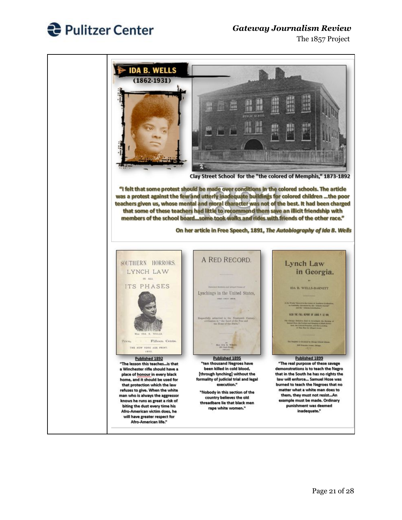

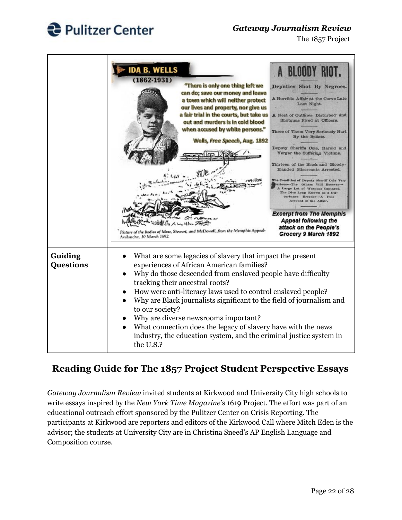

The 1857 Project

|                             | <b>IDA B. WELLS</b><br>$(1862-1931)$<br>"There is only one thing left we<br>can do; save our money and leave<br>a town which will neither protect<br>our lives and property, nor give us<br>a fair trial in the courts, but take us<br>out and murders is in cold blood<br>when accused by white persons."<br>Wells, Free Speech, Aug. 1892<br>Picture of the bodies of Mour, Stewart, and McDowell, from the Memphis Appeal-<br>Avalanche, 10 March 1892                                                                                                       | A BLOODY RIOT.<br>Deputies Shot By Negroes.<br>A Horrible Affair at the Curve Late<br>Last Night.<br>A Nest of Outlaws Disturbed and<br>Shotguns Fired at Officers.<br>Three of Them Very Seriously Hurt<br>By the Bullets.<br>Deputy Sheriffs Cole, Harold and<br>Yerger the Suffering Victims.<br>Thirteen of the Black and Bloody-<br>Handed Miscreants Arrested.<br>The Condition of Deputy Sheriff Cole Very<br>erious---The Others Will Recover-<br>A Large Lot of Weapons Captured.<br>The Dive Long Known as a Dis-<br>turbance Breeder-A Full<br>Account of the Affair.<br><b>Excerpt from The Memphis</b><br><b>Appeal following the</b><br>attack on the People's<br>Grocery 9 March 1892 |
|-----------------------------|-----------------------------------------------------------------------------------------------------------------------------------------------------------------------------------------------------------------------------------------------------------------------------------------------------------------------------------------------------------------------------------------------------------------------------------------------------------------------------------------------------------------------------------------------------------------|------------------------------------------------------------------------------------------------------------------------------------------------------------------------------------------------------------------------------------------------------------------------------------------------------------------------------------------------------------------------------------------------------------------------------------------------------------------------------------------------------------------------------------------------------------------------------------------------------------------------------------------------------------------------------------------------------|
| Guiding<br><b>Questions</b> | What are some legacies of slavery that impact the present<br>experiences of African American families?<br>Why do those descended from enslaved people have difficulty<br>tracking their ancestral roots?<br>How were anti-literacy laws used to control enslaved people?<br>Why are Black journalists significant to the field of journalism and<br>to our society?<br>Why are diverse newsrooms important?<br>What connection does the legacy of slavery have with the news<br>industry, the education system, and the criminal justice system in<br>the U.S.? |                                                                                                                                                                                                                                                                                                                                                                                                                                                                                                                                                                                                                                                                                                      |

# **Reading Guide for The 1857 Project Student Perspective Essays**

*Gateway Journalism Review* invited students at Kirkwood and University City high schools to write essays inspired by the *New York Time Magazine*'s 1619 Project. The effort was part of an educational outreach effort sponsored by the Pulitzer Center on Crisis Reporting. The participants at Kirkwood are reporters and editors of the Kirkwood Call where Mitch Eden is the advisor; the students at University City are in Christina Sneed's AP English Language and Composition course.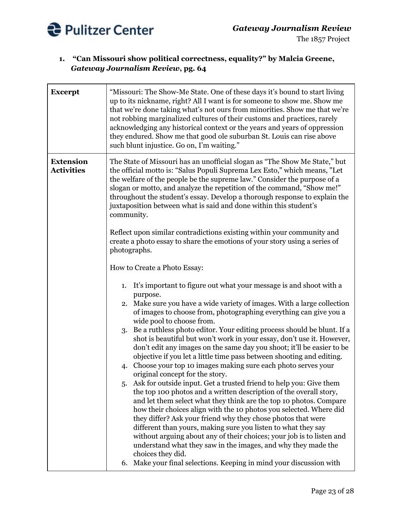

**1. "Can Missouri show political correctness, equality?" by Malcia Greene,** *Gateway Journalism Review***, pg. 64**

| <b>Excerpt</b>                        | "Missouri: The Show-Me State. One of these days it's bound to start living<br>up to its nickname, right? All I want is for someone to show me. Show me<br>that we're done taking what's not ours from minorities. Show me that we're<br>not robbing marginalized cultures of their customs and practices, rarely<br>acknowledging any historical context or the years and years of oppression<br>they endured. Show me that good ole suburban St. Louis can rise above<br>such blunt injustice. Go on, I'm waiting."                                                                       |  |
|---------------------------------------|--------------------------------------------------------------------------------------------------------------------------------------------------------------------------------------------------------------------------------------------------------------------------------------------------------------------------------------------------------------------------------------------------------------------------------------------------------------------------------------------------------------------------------------------------------------------------------------------|--|
| <b>Extension</b><br><b>Activities</b> | The State of Missouri has an unofficial slogan as "The Show Me State," but<br>the official motto is: "Salus Populi Suprema Lex Esto," which means, "Let<br>the welfare of the people be the supreme law." Consider the purpose of a<br>slogan or motto, and analyze the repetition of the command, "Show me!"<br>throughout the student's essay. Develop a thorough response to explain the<br>juxtaposition between what is said and done within this student's<br>community.<br>Reflect upon similar contradictions existing within your community and                                   |  |
|                                       | create a photo essay to share the emotions of your story using a series of<br>photographs.                                                                                                                                                                                                                                                                                                                                                                                                                                                                                                 |  |
|                                       | How to Create a Photo Essay:                                                                                                                                                                                                                                                                                                                                                                                                                                                                                                                                                               |  |
|                                       | It's important to figure out what your message is and shoot with a<br>1.<br>purpose.<br>2. Make sure you have a wide variety of images. With a large collection<br>of images to choose from, photographing everything can give you a                                                                                                                                                                                                                                                                                                                                                       |  |
|                                       | wide pool to choose from.<br>Be a ruthless photo editor. Your editing process should be blunt. If a<br>3.<br>shot is beautiful but won't work in your essay, don't use it. However,<br>don't edit any images on the same day you shoot; it'll be easier to be<br>objective if you let a little time pass between shooting and editing.                                                                                                                                                                                                                                                     |  |
|                                       | Choose your top 10 images making sure each photo serves your<br>4.<br>original concept for the story.                                                                                                                                                                                                                                                                                                                                                                                                                                                                                      |  |
|                                       | Ask for outside input. Get a trusted friend to help you: Give them<br>5.<br>the top 100 photos and a written description of the overall story,<br>and let them select what they think are the top 10 photos. Compare<br>how their choices align with the 10 photos you selected. Where did<br>they differ? Ask your friend why they chose photos that were<br>different than yours, making sure you listen to what they say<br>without arguing about any of their choices; your job is to listen and<br>understand what they saw in the images, and why they made the<br>choices they did. |  |
|                                       | Make your final selections. Keeping in mind your discussion with<br>6.                                                                                                                                                                                                                                                                                                                                                                                                                                                                                                                     |  |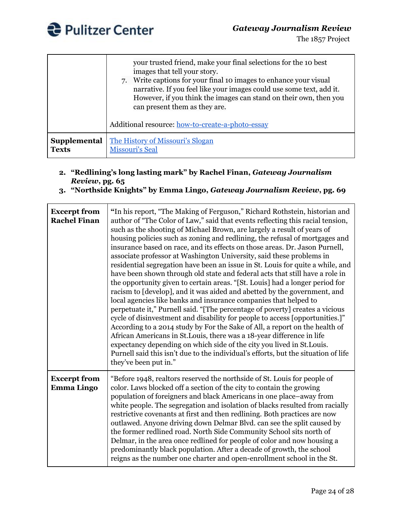

|              | your trusted friend, make your final selections for the 10 best<br>images that tell your story.<br>7. Write captions for your final 10 images to enhance your visual<br>narrative. If you feel like your images could use some text, add it.<br>However, if you think the images can stand on their own, then you<br>can present them as they are.<br>Additional resource: how-to-create-a-photo-essay |
|--------------|--------------------------------------------------------------------------------------------------------------------------------------------------------------------------------------------------------------------------------------------------------------------------------------------------------------------------------------------------------------------------------------------------------|
| Supplemental | The History of Missouri's Slogan                                                                                                                                                                                                                                                                                                                                                                       |
| <b>Texts</b> | <b>Missouri's Seal</b>                                                                                                                                                                                                                                                                                                                                                                                 |

- **2. "Redlining's long lasting mark" by Rachel Finan,** *Gateway Journalism Review***, pg. 65**
- **3. "Northside Knights" by Emma Lingo,** *Gateway Journalism Review***, pg. 69**

| <b>Excerpt from</b><br><b>Rachel Finan</b> | "In his report, "The Making of Ferguson," Richard Rothstein, historian and<br>author of "The Color of Law," said that events reflecting this racial tension,<br>such as the shooting of Michael Brown, are largely a result of years of<br>housing policies such as zoning and redlining, the refusal of mortgages and<br>insurance based on race, and its effects on those areas. Dr. Jason Purnell,<br>associate professor at Washington University, said these problems in<br>residential segregation have been an issue in St. Louis for quite a while, and<br>have been shown through old state and federal acts that still have a role in<br>the opportunity given to certain areas. "[St. Louis] had a longer period for<br>racism to [develop], and it was aided and abetted by the government, and<br>local agencies like banks and insurance companies that helped to<br>perpetuate it," Purnell said. "[The percentage of poverty] creates a vicious<br>cycle of disinvestment and disability for people to access [opportunities.]"<br>According to a 2014 study by For the Sake of All, a report on the health of<br>African Americans in St. Louis, there was a 18-year difference in life<br>expectancy depending on which side of the city you lived in St. Louis.<br>Purnell said this isn't due to the individual's efforts, but the situation of life<br>they've been put in." |
|--------------------------------------------|---------------------------------------------------------------------------------------------------------------------------------------------------------------------------------------------------------------------------------------------------------------------------------------------------------------------------------------------------------------------------------------------------------------------------------------------------------------------------------------------------------------------------------------------------------------------------------------------------------------------------------------------------------------------------------------------------------------------------------------------------------------------------------------------------------------------------------------------------------------------------------------------------------------------------------------------------------------------------------------------------------------------------------------------------------------------------------------------------------------------------------------------------------------------------------------------------------------------------------------------------------------------------------------------------------------------------------------------------------------------------------------------------|
| <b>Excerpt from</b><br><b>Emma Lingo</b>   | "Before 1948, realtors reserved the northside of St. Louis for people of<br>color. Laws blocked off a section of the city to contain the growing<br>population of foreigners and black Americans in one place–away from<br>white people. The segregation and isolation of blacks resulted from racially<br>restrictive covenants at first and then redlining. Both practices are now<br>outlawed. Anyone driving down Delmar Blvd. can see the split caused by<br>the former redlined road. North Side Community School sits north of<br>Delmar, in the area once redlined for people of color and now housing a<br>predominantly black population. After a decade of growth, the school<br>reigns as the number one charter and open-enrollment school in the St.                                                                                                                                                                                                                                                                                                                                                                                                                                                                                                                                                                                                                                |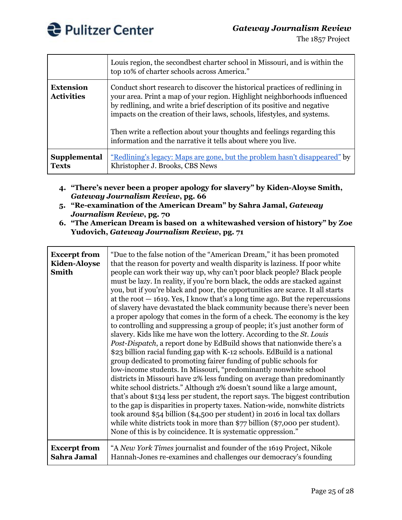

|                                       | Louis region, the second best charter school in Missouri, and is within the<br>top 10% of charter schools across America."                                                                                                                                                                                                                                                                                                                                  |
|---------------------------------------|-------------------------------------------------------------------------------------------------------------------------------------------------------------------------------------------------------------------------------------------------------------------------------------------------------------------------------------------------------------------------------------------------------------------------------------------------------------|
| <b>Extension</b><br><b>Activities</b> | Conduct short research to discover the historical practices of redlining in<br>your area. Print a map of your region. Highlight neighborhoods influenced<br>by redlining, and write a brief description of its positive and negative<br>impacts on the creation of their laws, schools, lifestyles, and systems.<br>Then write a reflection about your thoughts and feelings regarding this<br>information and the narrative it tells about where you live. |
| Supplemental<br><b>Texts</b>          | <u>"Redlining's legacy: Maps are gone, but the problem hasn't disappeared"</u> by<br>Khristopher J. Brooks, CBS News                                                                                                                                                                                                                                                                                                                                        |

- **4. "There's never been a proper apology for slavery" by Kiden-Aloyse Smith,** *Gateway Journalism Review***, pg. 66**
- **5. "Re-examination of the American Dream" by Sahra Jamal,** *Gateway Journalism Review***, pg. 70**
- **6. "The American Dream is based on a whitewashed version of history" by Zoe Yudovich,** *Gateway Journalism Review***, pg. 71**

| <b>Excerpt from</b><br><b>Kiden-Aloyse</b><br><b>Smith</b> | "Due to the false notion of the "American Dream," it has been promoted<br>that the reason for poverty and wealth disparity is laziness. If poor white<br>people can work their way up, why can't poor black people? Black people<br>must be lazy. In reality, if you're born black, the odds are stacked against<br>you, but if you're black and poor, the opportunities are scarce. It all starts<br>at the root $-1619$ . Yes, I know that's a long time ago. But the repercussions<br>of slavery have devastated the black community because there's never been<br>a proper apology that comes in the form of a check. The economy is the key<br>to controlling and suppressing a group of people; it's just another form of<br>slavery. Kids like me have won the lottery. According to the St. Louis<br>Post-Dispatch, a report done by EdBuild shows that nationwide there's a<br>\$23 billion racial funding gap with K-12 schools. EdBuild is a national<br>group dedicated to promoting fairer funding of public schools for<br>low-income students. In Missouri, "predominantly nonwhite school<br>districts in Missouri have 2% less funding on average than predominantly<br>white school districts." Although 2% doesn't sound like a large amount,<br>that's about \$134 less per student, the report says. The biggest contribution<br>to the gap is disparities in property taxes. Nation-wide, nonwhite districts<br>took around \$54 billion (\$4,500 per student) in 2016 in local tax dollars<br>while white districts took in more than \$77 billion (\$7,000 per student).<br>None of this is by coincidence. It is systematic oppression." |
|------------------------------------------------------------|-------------------------------------------------------------------------------------------------------------------------------------------------------------------------------------------------------------------------------------------------------------------------------------------------------------------------------------------------------------------------------------------------------------------------------------------------------------------------------------------------------------------------------------------------------------------------------------------------------------------------------------------------------------------------------------------------------------------------------------------------------------------------------------------------------------------------------------------------------------------------------------------------------------------------------------------------------------------------------------------------------------------------------------------------------------------------------------------------------------------------------------------------------------------------------------------------------------------------------------------------------------------------------------------------------------------------------------------------------------------------------------------------------------------------------------------------------------------------------------------------------------------------------------------------------------------------------------------------------------------------------------------------------------------|
| <b>Excerpt from</b>                                        | "A New York Times journalist and founder of the 1619 Project, Nikole                                                                                                                                                                                                                                                                                                                                                                                                                                                                                                                                                                                                                                                                                                                                                                                                                                                                                                                                                                                                                                                                                                                                                                                                                                                                                                                                                                                                                                                                                                                                                                                              |
| Sahra Jamal                                                | Hannah-Jones re-examines and challenges our democracy's founding                                                                                                                                                                                                                                                                                                                                                                                                                                                                                                                                                                                                                                                                                                                                                                                                                                                                                                                                                                                                                                                                                                                                                                                                                                                                                                                                                                                                                                                                                                                                                                                                  |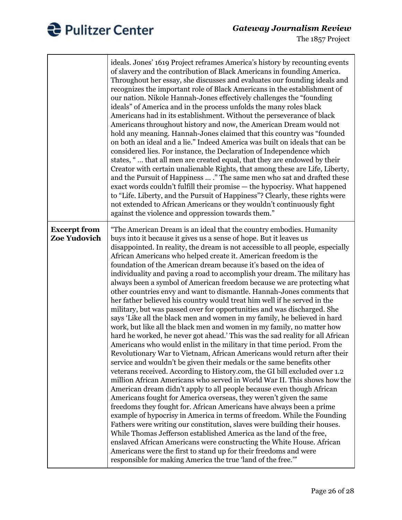

|                                            | ideals. Jones' 1619 Project reframes America's history by recounting events<br>of slavery and the contribution of Black Americans in founding America.<br>Throughout her essay, she discusses and evaluates our founding ideals and<br>recognizes the important role of Black Americans in the establishment of<br>our nation. Nikole Hannah-Jones effectively challenges the "founding"<br>ideals" of America and in the process unfolds the many roles black<br>Americans had in its establishment. Without the perseverance of black<br>Americans throughout history and now, the American Dream would not<br>hold any meaning. Hannah-Jones claimed that this country was "founded<br>on both an ideal and a lie." Indeed America was built on ideals that can be<br>considered lies. For instance, the Declaration of Independence which<br>states, " that all men are created equal, that they are endowed by their<br>Creator with certain unalienable Rights, that among these are Life, Liberty,<br>and the Pursuit of Happiness  ." The same men who sat and drafted these<br>exact words couldn't fulfill their promise — the hypocrisy. What happened<br>to "Life. Liberty, and the Pursuit of Happiness"? Clearly, these rights were<br>not extended to African Americans or they wouldn't continuously fight<br>against the violence and oppression towards them."                                                                                                                                                                                                                                                                                                                                                                                                                                                                                                                                                                                                                                                                                    |
|--------------------------------------------|---------------------------------------------------------------------------------------------------------------------------------------------------------------------------------------------------------------------------------------------------------------------------------------------------------------------------------------------------------------------------------------------------------------------------------------------------------------------------------------------------------------------------------------------------------------------------------------------------------------------------------------------------------------------------------------------------------------------------------------------------------------------------------------------------------------------------------------------------------------------------------------------------------------------------------------------------------------------------------------------------------------------------------------------------------------------------------------------------------------------------------------------------------------------------------------------------------------------------------------------------------------------------------------------------------------------------------------------------------------------------------------------------------------------------------------------------------------------------------------------------------------------------------------------------------------------------------------------------------------------------------------------------------------------------------------------------------------------------------------------------------------------------------------------------------------------------------------------------------------------------------------------------------------------------------------------------------------------------------------------------------------------------------------------------------------------|
| <b>Excerpt from</b><br><b>Zoe Yudovich</b> | "The American Dream is an ideal that the country embodies. Humanity<br>buys into it because it gives us a sense of hope. But it leaves us<br>disappointed. In reality, the dream is not accessible to all people, especially<br>African Americans who helped create it. American freedom is the<br>foundation of the American dream because it's based on the idea of<br>individuality and paving a road to accomplish your dream. The military has<br>always been a symbol of American freedom because we are protecting what<br>other countries envy and want to dismantle. Hannah-Jones comments that<br>her father believed his country would treat him well if he served in the<br>military, but was passed over for opportunities and was discharged. She<br>says 'Like all the black men and women in my family, he believed in hard<br>work, but like all the black men and women in my family, no matter how<br>hard he worked, he never got ahead.' This was the sad reality for all African<br>Americans who would enlist in the military in that time period. From the<br>Revolutionary War to Vietnam, African Americans would return after their<br>service and wouldn't be given their medals or the same benefits other<br>veterans received. According to History.com, the GI bill excluded over 1.2<br>million African Americans who served in World War II. This shows how the<br>American dream didn't apply to all people because even though African<br>Americans fought for America overseas, they weren't given the same<br>freedoms they fought for. African Americans have always been a prime<br>example of hypocrisy in America in terms of freedom. While the Founding<br>Fathers were writing our constitution, slaves were building their houses.<br>While Thomas Jefferson established America as the land of the free,<br>enslaved African Americans were constructing the White House. African<br>Americans were the first to stand up for their freedoms and were<br>responsible for making America the true 'land of the free." |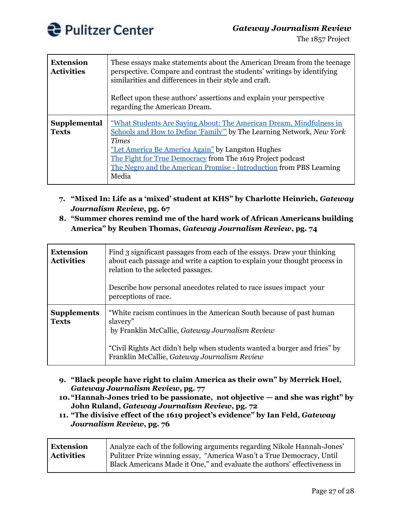

| <b>Extension</b><br><b>Activities</b> | These essays make statements about the American Dream from the teenage<br>perspective. Compare and contrast the students' writings by identifying<br>similarities and differences in their style and craft.<br>Reflect upon these authors' assertions and explain your perspective<br>regarding the American Dream.                                             |
|---------------------------------------|-----------------------------------------------------------------------------------------------------------------------------------------------------------------------------------------------------------------------------------------------------------------------------------------------------------------------------------------------------------------|
| Supplemental<br><b>Texts</b>          | "What Students Are Saying About: The American Dream, Mindfulness in<br>Schools and How to Define 'Family'" by The Learning Network, New York<br><b>Times</b><br>"Let America Be America Again" by Langston Hughes<br>The Fight for True Democracy from The 1619 Project podcast<br>The Negro and the American Promise - Introduction from PBS Learning<br>Media |

- **7. "Mixed In: Life as a 'mixed' student at KHS" by Charlotte Heinrich,** *Gateway Journalism Review***, pg. 67**
- **8. "Summer chores remind me of the hard work of African Americans building America" by Reuben Thomas,** *Gateway Journalism Review***, pg. 74**

| <b>Extension</b><br><b>Activities</b> | Find 3 significant passages from each of the essays. Draw your thinking<br>about each passage and write a caption to explain your thought process in<br>relation to the selected passages.<br>Describe how personal anecdotes related to race issues impact your<br>perceptions of race. |
|---------------------------------------|------------------------------------------------------------------------------------------------------------------------------------------------------------------------------------------------------------------------------------------------------------------------------------------|
| <b>Supplements</b><br><b>Texts</b>    | "White racism continues in the American South because of past human<br>slavery"<br>by Franklin McCallie, Gateway Journalism Review<br>"Civil Rights Act didn't help when students wanted a burger and fries" by<br>Franklin McCallie, Gateway Journalism Review                          |

- **9. "Black people have right to claim America as their own" by Merrick Hoel,** *Gateway Journalism Review***, pg. 77**
- **10."Hannah-Jones tried to be passionate, not objective — and she was right" by John Ruland,** *Gateway Journalism Review***, pg. 72**
- **11. "The divisive effect of the 1619 project's evidence" by Ian Feld,** *Gateway Journalism Review***, pg. 76**

| <b>Extension</b>  | Analyze each of the following arguments regarding Nikole Hannah-Jones'   |
|-------------------|--------------------------------------------------------------------------|
| <b>Activities</b> | Pulitzer Prize winning essay, "America Wasn't a True Democracy, Until    |
|                   | Black Americans Made it One," and evaluate the authors' effectiveness in |